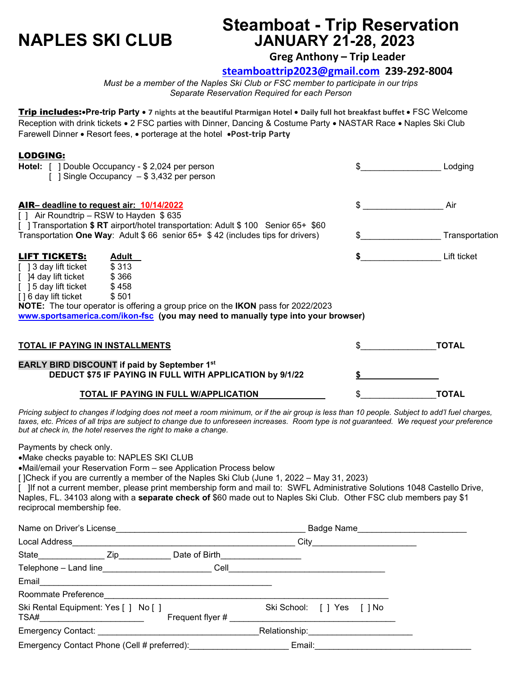# **Steamboat - Trip Reservation NAPLES SKI CLUB JANUARY 21-28, 2023**

**Greg Anthony – Trip Leader**

**[steamboattrip2023@gmail.com](mailto:steamboat-trip2023@gmail.com) 239-292-8004** 

*Must be a member of the Naples Ski Club or FSC member to participate in our trips Separate Reservation Required for each Person*

Trip includes:•**Pre-trip Party** • **7 nights at the beautiful Ptarmigan Hotel** • **Daily full hot breakfast buffet** • FSC Welcome Reception with drink tickets • 2 FSC parties with Dinner, Dancing & Costume Party • NASTAR Race • Naples Ski Club Farewell Dinner • Resort fees, • porterage at the hotel •**Post-trip Party**

| <b>LODGING:</b><br><b>Hotel:</b> [ ] Double Occupancy - \$ 2,024 per person<br>[ ] Single Occupancy $-$ \$ 3,432 per person                                                                                                                                                                                                                    | Lodging        |
|------------------------------------------------------------------------------------------------------------------------------------------------------------------------------------------------------------------------------------------------------------------------------------------------------------------------------------------------|----------------|
| AIR- deadline to request air 10/14/2022<br>[] Air Roundtrip – RSW to Hayden \$635<br>[ ] Transportation \$ RT airport/hotel transportation: Adult \$ 100 Senior 65+ \$60                                                                                                                                                                       | \$<br>Air      |
| Transportation One Way: Adult $$66$ senior $65+ $42$ (includes tips for drivers)                                                                                                                                                                                                                                                               | Transportation |
| <b>LIFT TICKETS:</b><br><b>Adult</b><br>[] 3 day lift ticket \$313<br>$[$  4 day lift ticket $$366$<br>[ ] 5 day lift ticket<br>\$458<br>[] 6 day lift ticket<br>\$501<br>NOTE: The tour operator is offering a group price on the IKON pass for 2022/2023<br>www.sportsamerica.com/ikon-fsc (you may need to manually type into your browser) | Lift ticket    |
| <b>TOTAL IF PAYING IN INSTALLMENTS</b>                                                                                                                                                                                                                                                                                                         | <b>TOTAL</b>   |
| <b>EARLY BIRD DISCOUNT if paid by September 1st</b><br><b>DEDUCT \$75 IF PAYING IN FULL WITH APPLICATION by 9/1/22</b>                                                                                                                                                                                                                         |                |
| TOTAL IF PAYING IN FULL W/APPLICATION                                                                                                                                                                                                                                                                                                          | TOTAL          |

*Pricing subject to changes if lodging does not meet a room minimum, or if the air group is less than 10 people. Subject to add'l fuel charges, taxes, etc. Prices of all trips are subject to change due to unforeseen increases. Room type is not guaranteed. We request your preference but at check in, the hotel reserves the right to make a change.*

Payments by check only.

•Make checks payable to: NAPLES SKI CLUB

•Mail/email your Reservation Form – see Application Process below

[ ]Check if you are currently a member of the Naples Ski Club (June 1, 2022 – May 31, 2023)

[ ]If not a current member, please print membership form and mail to: SWFL Administrative Solutions 1048 Castello Drive, Naples, FL. 34103 along with a **separate check of** \$60 made out to Naples Ski Club. Other FSC club members pay \$1 reciprocal membership fee.

| Name on Driver's License                                                                                                                                                                                                                                                                                                                                                                                                              |                                                      | Badge Name_______________________ |  |
|---------------------------------------------------------------------------------------------------------------------------------------------------------------------------------------------------------------------------------------------------------------------------------------------------------------------------------------------------------------------------------------------------------------------------------------|------------------------------------------------------|-----------------------------------|--|
| Local Address                                                                                                                                                                                                                                                                                                                                                                                                                         |                                                      |                                   |  |
|                                                                                                                                                                                                                                                                                                                                                                                                                                       | Date of Birth <b>container the Contract of Birth</b> |                                   |  |
| Telephone - Land line <b>contract to the contract of the contract of the contract of the contract of the contract of the contract of the contract of the contract of the contract of the contract of the contract of the contrac</b>                                                                                                                                                                                                  | Cell                                                 |                                   |  |
|                                                                                                                                                                                                                                                                                                                                                                                                                                       |                                                      |                                   |  |
| Roommate Preference                                                                                                                                                                                                                                                                                                                                                                                                                   |                                                      |                                   |  |
| Ski Rental Equipment: Yes [ ] No [ ]<br>$TSA# \begin{picture}(180,10) \put(0,0){\dashbox{0.5}(10,0){ }} \put(15,0){\circle{10}} \put(15,0){\circle{10}} \put(15,0){\circle{10}} \put(15,0){\circle{10}} \put(15,0){\circle{10}} \put(15,0){\circle{10}} \put(15,0){\circle{10}} \put(15,0){\circle{10}} \put(15,0){\circle{10}} \put(15,0){\circle{10}} \put(15,0){\circle{10}} \put(15,0){\circle{10}} \put(15,0){\circle{10}} \put$ | Frequent flyer #                                     | Ski School: [ ] Yes [ ] No        |  |
|                                                                                                                                                                                                                                                                                                                                                                                                                                       |                                                      |                                   |  |
| Emergency Contact Phone (Cell # preferred):                                                                                                                                                                                                                                                                                                                                                                                           |                                                      | Email:                            |  |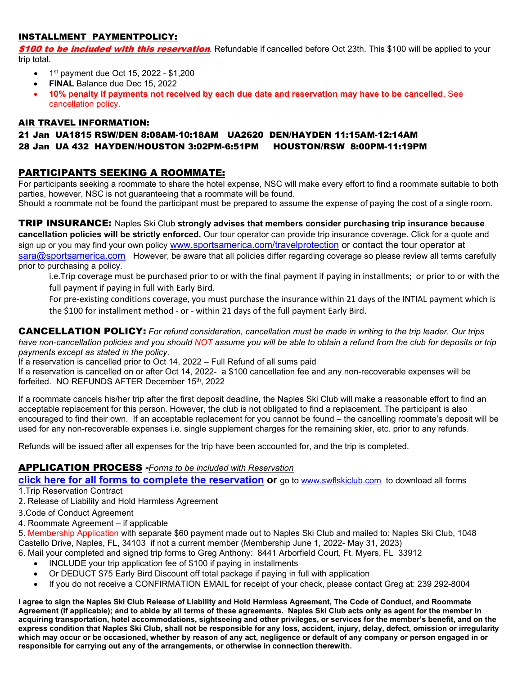## INSTALLMENT PAYMENTPOLICY:

\$100 to be included with this reservation. Refundable if cancelled before Oct 23th. This \$100 will be applied to your trip total.

- $1^{st}$  payment due Oct 15, 2022 \$1,200
- **FINAL** Balance due Dec 15, 2022
- **10% penalty if payments not received by each due date and reservation may have to be cancelled**. See cancellation policy.

### AIR TRAVEL INFORMATION:

### 21 Jan UA1815 RSW/DEN 8:08AM-10:18AM UA2620 DEN/HAYDEN 11:15AM-12:14AM 28 Jan UA 432 HAYDEN/HOUSTON 3:02PM-6:51PM HOUSTON/RSW 8:00PM-11:19PM

# PARTICIPANTS SEEKING A ROOMMATE:

For participants seeking a roommate to share the hotel expense, NSC will make every effort to find a roommate suitable to both parties, however, NSC is not guaranteeing that a roommate will be found.

Should a roommate not be found the participant must be prepared to assume the expense of paying the cost of a single room.

TRIP INSURANCE: Naples Ski Club **strongly advises that members consider purchasing trip insurance because cancellation policies will be strictly enforced.** Our tour operator can provide trip insurance coverage. Click for a quote and sign up or you may find your own policy [www.sportsamerica.com/travelprotection](http://www.sportsamerica.com/travelprotection) or contact the tour operator at [sara@sportsamerica.com](mailto:sara@sportsamerica.com) However, be aware that all policies differ regarding coverage so please review all terms carefully prior to purchasing a policy.

i.e.Trip coverage must be purchased prior to or with the final payment if paying in installments; or prior to or with the full payment if paying in full with Early Bird.

For pre-existing conditions coverage, you must purchase the insurance within 21 days of the INTIAL payment which is the \$100 for installment method - or - within 21 days of the full payment Early Bird.

CANCELLATION POLICY: *For refund consideration, cancellation must be made in writing to the trip leader. Our trips have non-cancellation policies and you should NOT assume you will be able to obtain a refund from the club for deposits or trip payments except as stated in the policy.*

If a reservation is cancelled prior to Oct 14, 2022 – Full Refund of all sums paid

If a reservation is cancelled on or after Oct 14, 2022- a \$100 cancellation fee and any non-recoverable expenses will be forfeited. NO REFUNDS AFTER December 15th, 2022

If a roommate cancels his/her trip after the first deposit deadline, the Naples Ski Club will make a reasonable effort to find an acceptable replacement for this person. However, the club is not obligated to find a replacement. The participant is also encouraged to find their own. If an acceptable replacement for you cannot be found – the cancelling roommate's deposit will be used for any non-recoverable expenses i.e. single supplement charges for the remaining skier, etc. prior to any refunds.

Refunds will be issued after all expenses for the trip have been accounted for, and the trip is completed.

# APPLICATION PROCESS **-***Forms to be included with Reservation*

**click here for all forms to complete the reservation or** go to [www.swflskiclub.com](http://www.swflskiclub.com/) to download all forms 1.Trip Reservation Contract

- 2. Release of Liability and Hold Harmless Agreement
- 3.Code of Conduct Agreement
- 4. Roommate Agreement if applicable

5. Membership Application with separate \$60 payment made out to Naples Ski Club and mailed to: Naples Ski Club, 1048 Castello Drive, Naples, FL, 34103 if not a current member (Membership June 1, 2022- May 31, 2023)

- 6. Mail your completed and signed trip forms to Greg Anthony: 8441 Arborfield Court, Ft. Myers, FL 33912
	- INCLUDE your trip application fee of \$100 if paying in installments
	- Or DEDUCT \$75 Early Bird Discount off total package if paying in full with application
	- If you do not receive a CONFIRMATION EMAIL for receipt of your check, please contact Greg at: 239 292-8004

**I agree to sign the Naples Ski Club Release of Liability and Hold Harmless Agreement, The Code of Conduct, and Roommate Agreement (if applicable); and to abide by all terms of these agreements. Naples Ski Club acts only as agent for the member in acquiring transportation, hotel accommodations, sightseeing and other privileges, or services for the member's benefit, and on the express condition that Naples Ski Club, shall not be responsible for any loss, accident, injury, delay, defect, omission or irregularity which may occur or be occasioned, whether by reason of any act, negligence or default of any company or person engaged in or responsible for carrying out any of the arrangements, or otherwise in connection therewith.**